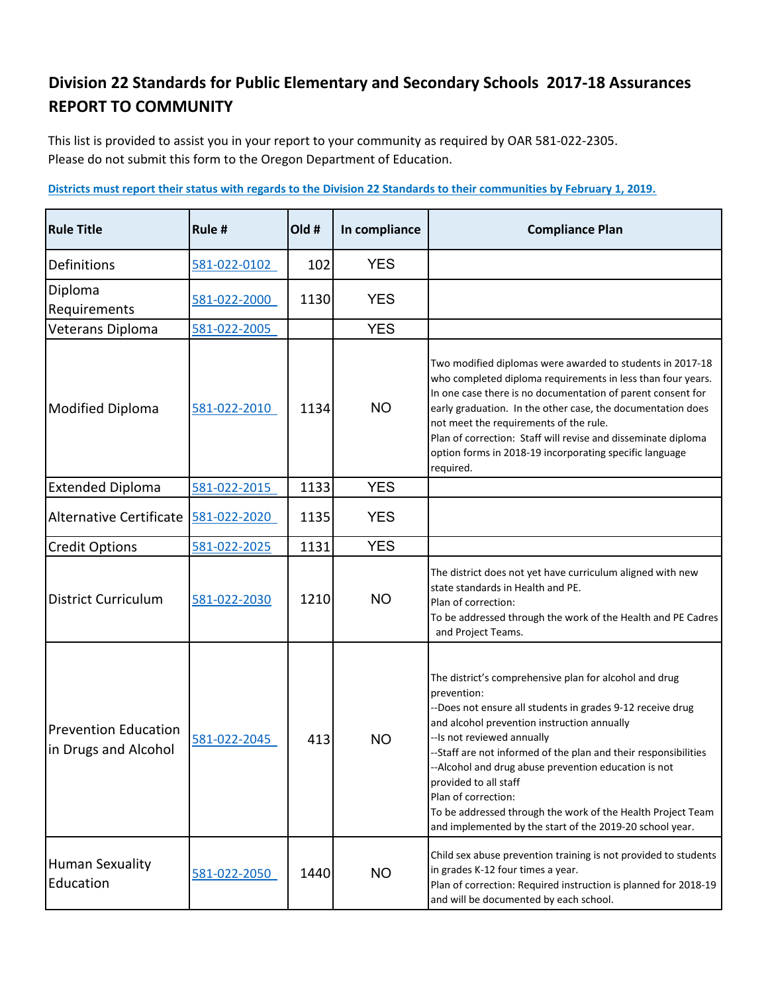## **Division 22 Standards for Public Elementary and Secondary Schools 2017-18 Assurances REPORT TO COMMUNITY**

This list is provided to assist you in your report to your community as required by OAR 581-022-2305. Please do not submit this form to the Oregon Department of Education.

| <b>Rule Title</b>                                   | Rule #       | Old # | In compliance | <b>Compliance Plan</b>                                                                                                                                                                                                                                                                                                                                                                                                                                                                                                 |
|-----------------------------------------------------|--------------|-------|---------------|------------------------------------------------------------------------------------------------------------------------------------------------------------------------------------------------------------------------------------------------------------------------------------------------------------------------------------------------------------------------------------------------------------------------------------------------------------------------------------------------------------------------|
| Definitions                                         | 581-022-0102 | 102   | <b>YES</b>    |                                                                                                                                                                                                                                                                                                                                                                                                                                                                                                                        |
| Diploma<br>Requirements                             | 581-022-2000 | 1130  | <b>YES</b>    |                                                                                                                                                                                                                                                                                                                                                                                                                                                                                                                        |
| Veterans Diploma                                    | 581-022-2005 |       | <b>YES</b>    |                                                                                                                                                                                                                                                                                                                                                                                                                                                                                                                        |
| Modified Diploma                                    | 581-022-2010 | 1134  | <b>NO</b>     | Two modified diplomas were awarded to students in 2017-18<br>who completed diploma requirements in less than four years.<br>In one case there is no documentation of parent consent for<br>early graduation. In the other case, the documentation does<br>not meet the requirements of the rule.<br>Plan of correction: Staff will revise and disseminate diploma<br>option forms in 2018-19 incorporating specific language<br>required.                                                                              |
| <b>Extended Diploma</b>                             | 581-022-2015 | 1133  | <b>YES</b>    |                                                                                                                                                                                                                                                                                                                                                                                                                                                                                                                        |
| Alternative Certificate                             | 581-022-2020 | 1135  | <b>YES</b>    |                                                                                                                                                                                                                                                                                                                                                                                                                                                                                                                        |
| <b>Credit Options</b>                               | 581-022-2025 | 1131  | <b>YES</b>    |                                                                                                                                                                                                                                                                                                                                                                                                                                                                                                                        |
| <b>District Curriculum</b>                          | 581-022-2030 | 1210  | <b>NO</b>     | The district does not yet have curriculum aligned with new<br>state standards in Health and PE.<br>Plan of correction:<br>To be addressed through the work of the Health and PE Cadres<br>and Project Teams.                                                                                                                                                                                                                                                                                                           |
| <b>Prevention Education</b><br>in Drugs and Alcohol | 581-022-2045 | 413   | <b>NO</b>     | The district's comprehensive plan for alcohol and drug<br>prevention:<br>--Does not ensure all students in grades 9-12 receive drug<br>and alcohol prevention instruction annually<br>--Is not reviewed annually<br>--Staff are not informed of the plan and their responsibilities<br>--Alcohol and drug abuse prevention education is not<br>provided to all staff<br>Plan of correction:<br>To be addressed through the work of the Health Project Team<br>and implemented by the start of the 2019-20 school year. |
| <b>Human Sexuality</b><br>Education                 | 581-022-2050 | 1440  | <b>NO</b>     | Child sex abuse prevention training is not provided to students<br>in grades K-12 four times a year.<br>Plan of correction: Required instruction is planned for 2018-19<br>and will be documented by each school.                                                                                                                                                                                                                                                                                                      |

**Districts must report their status with regards to the Division 22 Standards to their communities by February 1, 2019.**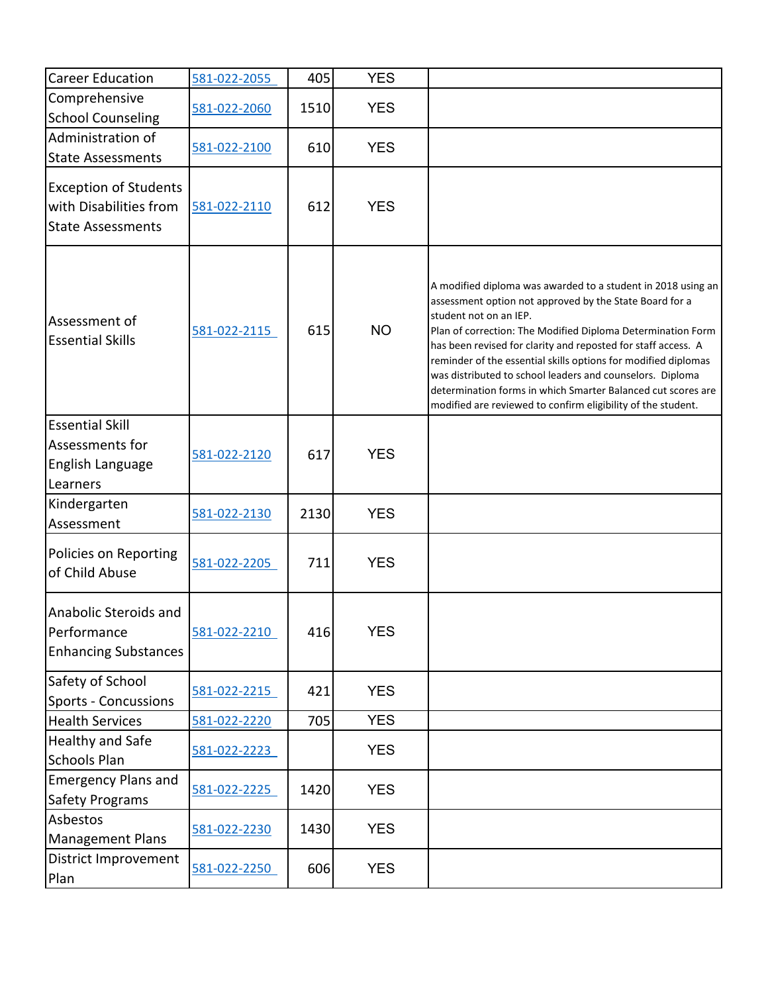| <b>Career Education</b>                                                            | 581-022-2055 | 405  | <b>YES</b> |                                                                                                                                                                                                                                                                                                                                                                                                                                                                                                                                                  |
|------------------------------------------------------------------------------------|--------------|------|------------|--------------------------------------------------------------------------------------------------------------------------------------------------------------------------------------------------------------------------------------------------------------------------------------------------------------------------------------------------------------------------------------------------------------------------------------------------------------------------------------------------------------------------------------------------|
| Comprehensive<br><b>School Counseling</b>                                          | 581-022-2060 | 1510 | <b>YES</b> |                                                                                                                                                                                                                                                                                                                                                                                                                                                                                                                                                  |
| Administration of<br><b>State Assessments</b>                                      | 581-022-2100 | 610  | <b>YES</b> |                                                                                                                                                                                                                                                                                                                                                                                                                                                                                                                                                  |
| <b>Exception of Students</b><br>with Disabilities from<br><b>State Assessments</b> | 581-022-2110 | 612  | <b>YES</b> |                                                                                                                                                                                                                                                                                                                                                                                                                                                                                                                                                  |
| Assessment of<br><b>Essential Skills</b>                                           | 581-022-2115 | 615  | <b>NO</b>  | A modified diploma was awarded to a student in 2018 using an<br>assessment option not approved by the State Board for a<br>student not on an IEP.<br>Plan of correction: The Modified Diploma Determination Form<br>has been revised for clarity and reposted for staff access. A<br>reminder of the essential skills options for modified diplomas<br>was distributed to school leaders and counselors. Diploma<br>determination forms in which Smarter Balanced cut scores are<br>modified are reviewed to confirm eligibility of the student. |
| <b>Essential Skill</b><br>Assessments for<br>English Language<br>Learners          | 581-022-2120 | 617  | <b>YES</b> |                                                                                                                                                                                                                                                                                                                                                                                                                                                                                                                                                  |
| Kindergarten<br>Assessment                                                         | 581-022-2130 | 2130 | <b>YES</b> |                                                                                                                                                                                                                                                                                                                                                                                                                                                                                                                                                  |
| Policies on Reporting<br>of Child Abuse                                            | 581-022-2205 | 711  | <b>YES</b> |                                                                                                                                                                                                                                                                                                                                                                                                                                                                                                                                                  |
| Anabolic Steroids and<br>Performance<br><b>Enhancing Substances</b>                | 581-022-2210 | 416  | <b>YES</b> |                                                                                                                                                                                                                                                                                                                                                                                                                                                                                                                                                  |
| Safety of School<br><b>Sports - Concussions</b>                                    | 581-022-2215 | 421  | <b>YES</b> |                                                                                                                                                                                                                                                                                                                                                                                                                                                                                                                                                  |
| <b>Health Services</b>                                                             | 581-022-2220 | 705  | <b>YES</b> |                                                                                                                                                                                                                                                                                                                                                                                                                                                                                                                                                  |
| Healthy and Safe<br><b>Schools Plan</b>                                            | 581-022-2223 |      | <b>YES</b> |                                                                                                                                                                                                                                                                                                                                                                                                                                                                                                                                                  |
| <b>Emergency Plans and</b><br>Safety Programs                                      | 581-022-2225 | 1420 | <b>YES</b> |                                                                                                                                                                                                                                                                                                                                                                                                                                                                                                                                                  |
| Asbestos<br><b>Management Plans</b>                                                | 581-022-2230 | 1430 | <b>YES</b> |                                                                                                                                                                                                                                                                                                                                                                                                                                                                                                                                                  |
| District Improvement<br>Plan                                                       | 581-022-2250 | 606  | <b>YES</b> |                                                                                                                                                                                                                                                                                                                                                                                                                                                                                                                                                  |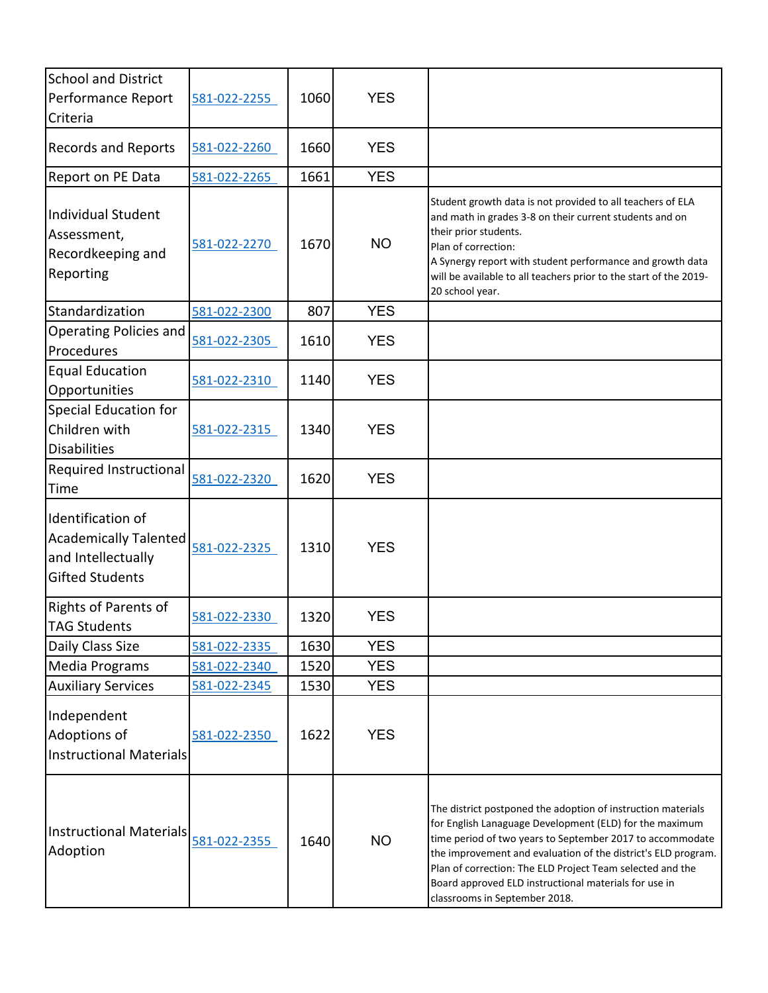| <b>School and District</b><br>Performance Report<br>Criteria                                      | 581-022-2255 | 1060 | <b>YES</b> |                                                                                                                                                                                                                                                                                                                                                                                                              |
|---------------------------------------------------------------------------------------------------|--------------|------|------------|--------------------------------------------------------------------------------------------------------------------------------------------------------------------------------------------------------------------------------------------------------------------------------------------------------------------------------------------------------------------------------------------------------------|
| <b>Records and Reports</b>                                                                        | 581-022-2260 | 1660 | <b>YES</b> |                                                                                                                                                                                                                                                                                                                                                                                                              |
| Report on PE Data                                                                                 | 581-022-2265 | 1661 | <b>YES</b> |                                                                                                                                                                                                                                                                                                                                                                                                              |
| Individual Student<br>Assessment,<br>Recordkeeping and<br>Reporting                               | 581-022-2270 | 1670 | <b>NO</b>  | Student growth data is not provided to all teachers of ELA<br>and math in grades 3-8 on their current students and on<br>their prior students.<br>Plan of correction:<br>A Synergy report with student performance and growth data<br>will be available to all teachers prior to the start of the 2019-<br>20 school year.                                                                                   |
| Standardization                                                                                   | 581-022-2300 | 807  | <b>YES</b> |                                                                                                                                                                                                                                                                                                                                                                                                              |
| <b>Operating Policies and</b><br>Procedures                                                       | 581-022-2305 | 1610 | <b>YES</b> |                                                                                                                                                                                                                                                                                                                                                                                                              |
| <b>Equal Education</b><br>Opportunities                                                           | 581-022-2310 | 1140 | <b>YES</b> |                                                                                                                                                                                                                                                                                                                                                                                                              |
| Special Education for<br>Children with<br><b>Disabilities</b>                                     | 581-022-2315 | 1340 | <b>YES</b> |                                                                                                                                                                                                                                                                                                                                                                                                              |
| Required Instructional<br>Time                                                                    | 581-022-2320 | 1620 | <b>YES</b> |                                                                                                                                                                                                                                                                                                                                                                                                              |
| Identification of<br><b>Academically Talented</b><br>and Intellectually<br><b>Gifted Students</b> | 581-022-2325 | 1310 | <b>YES</b> |                                                                                                                                                                                                                                                                                                                                                                                                              |
| <b>Rights of Parents of</b><br><b>TAG Students</b>                                                | 581-022-2330 | 1320 | <b>YES</b> |                                                                                                                                                                                                                                                                                                                                                                                                              |
| Daily Class Size                                                                                  | 581-022-2335 | 1630 | <b>YES</b> |                                                                                                                                                                                                                                                                                                                                                                                                              |
| Media Programs                                                                                    | 581-022-2340 | 1520 | <b>YES</b> |                                                                                                                                                                                                                                                                                                                                                                                                              |
| <b>Auxiliary Services</b>                                                                         | 581-022-2345 | 1530 | <b>YES</b> |                                                                                                                                                                                                                                                                                                                                                                                                              |
| Independent<br>Adoptions of<br><b>Instructional Materials</b>                                     | 581-022-2350 | 1622 | <b>YES</b> |                                                                                                                                                                                                                                                                                                                                                                                                              |
| Instructional Materials<br>Adoption                                                               | 581-022-2355 | 1640 | <b>NO</b>  | The district postponed the adoption of instruction materials<br>for English Lanaguage Development (ELD) for the maximum<br>time period of two years to September 2017 to accommodate<br>the improvement and evaluation of the district's ELD program.<br>Plan of correction: The ELD Project Team selected and the<br>Board approved ELD instructional materials for use in<br>classrooms in September 2018. |